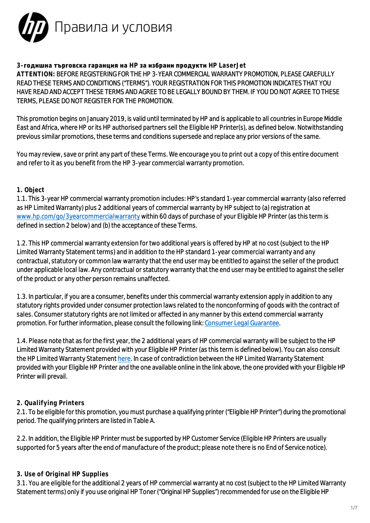

# **3-годишна търговска гаранция на HP за избрани продукти HP LaserJet**

**ATTENTION:** BEFORE REGISTERING FOR THE HP 3-YEAR COMMERCIAL WARRANTY PROMOTION, PLEASE CAREFULLY READ THESE TERMS AND CONDITIONS ("TERMS"). YOUR REGISTRATION FOR THIS PROMOTION INDICATES THAT YOU HAVE READ AND ACCEPT THESE TERMS AND AGREE TO BE LEGALLY BOUND BY THEM. IF YOU DO NOT AGREE TO THESE TERMS, PLEASE DO NOT REGISTER FOR THE PROMOTION.

This promotion begins on January 2019, is valid until terminated by HP and is applicable to all countries in Europe Middle East and Africa, where HP or its HP authorised partners sell the Eligible HP Printer(s), as defined below. Notwithstanding previous similar promotions, these terms and conditions supersede and replace any prior versions of the same.

You may review, save or print any part of these Terms. We encourage you to print out a copy of this entire document and refer to it as you benefit from the HP 3-year commercial warranty promotion.

## **1. Object**

1.1. This 3-year HP commercial warranty promotion includes: HP's standard 1-year commercial warranty (also referred as HP Limited Warranty) plus 2 additional years of commercial warranty by HP subject to (a) registration at [www.hp.com/go/3yearcommercialwarranty](https://www.hp.com/go/3yearcommercialwarranty) within 60 days of purchase of your Eligible HP Printer (as this term is defined in section 2 below) and (b) the acceptance of these Terms.

1.2. This HP commercial warranty extension for two additional years is offered by HP at no cost (subject to the HP Limited Warranty Statement terms) and in addition to the HP standard 1-year commercial warranty and any contractual, statutory or common law warranty that the end user may be entitled to against the seller of the product under applicable local law. Any contractual or statutory warranty that the end user may be entitled to against the seller of the product or any other person remains unaffected.

1.3. In particular, if you are a consumer, benefits under this commercial warranty extension apply in addition to any statutory rights provided under consumer protection laws related to the nonconforming of goods with the contract of sales. Consumer statutory rights are not limited or affected in any manner by this extend commercial warranty promotion. For further information, please consult the following link: [Consumer Legal Guarantee.](https://support.hp.com/bg-en/document/c03921729)

1.4. Please note that as for the first year, the 2 additional years of HP commercial warranty will be subject to the HP Limited Warranty Statement provided with your Eligible HP Printer (as this term is defined below). You can also consult the HP Limited Warranty Statement [here](http://www8.hp.com/bg/bg/privacy/limited_warranty.html). In case of contradiction between the HP Limited Warranty Statement provided with your Eligible HP Printer and the one available online in the link above, the one provided with your Eligible HP Printer will prevail.

# **2. Qualifying Printers**

2.1. To be eligible for this promotion, you must purchase a qualifying printer ("Eligible HP Printer") during the promotional period. The qualifying printers are listed in Table A.

2.2. In addition, the Eligible HP Printer must be supported by HP Customer Service (Eligible HP Printers are usually supported for 5 years after the end of manufacture of the product; please note there is no End of Service notice).

# **3. Use of Original HP Supplies**

3.1. You are eligible for the additional 2 years of HP commercial warranty at no cost (subject to the HP Limited Warranty Statement terms) only if you use original HP Toner ("Original HP Supplies") recommended for use on the Eligible HP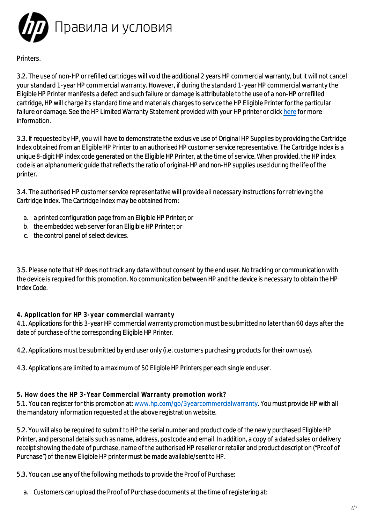Правила и условия

# Printers.

3.2. The use of non-HP or refilled cartridges will void the additional 2 years HP commercial warranty, but it will not cancel your standard 1-year HP commercial warranty. However, if during the standard 1-year HP commercial warranty the Eligible HP Printer manifests a defect and such failure or damage is attributable to the use of a non-HP or refilled cartridge, HP will charge its standard time and materials charges to service the HP Eligible Printer for the particular failure or damage. See the HP Limited Warranty Statement provided with your HP printer or click [here](http://www8.hp.com/bg/bg/privacy/limited_warranty.html) for more information.

3.3. If requested by HP, you will have to demonstrate the exclusive use of Original HP Supplies by providing the Cartridge Index obtained from an Eligible HP Printer to an authorised HP customer service representative. The Cartridge Index is a unique 8-digit HP index code generated on the Eligible HP Printer, at the time of service. When provided, the HP index code is an alphanumeric guide that reflects the ratio of original-HP and non-HP supplies used during the life of the printer.

3.4. The authorised HP customer service representative will provide all necessary instructions for retrieving the Cartridge Index. The Cartridge Index may be obtained from:

- a. a printed configuration page from an Eligible HP Printer; or
- b. the embedded web server for an Eligible HP Printer; or
- c. the control panel of select devices.

3.5. Please note that HP does not track any data without consent by the end user. No tracking or communication with the device is required for this promotion. No communication between HP and the device is necessary to obtain the HP Index Code.

### **4. Application for HP 3-year commercial warranty**

4.1. Applications for this 3-year HP commercial warranty promotion must be submitted no later than 60 days after the date of purchase of the corresponding Eligible HP Printer.

4.2. Applications must be submitted by end user only (i.e. customers purchasing products for their own use).

4.3. Applications are limited to a maximum of 50 Eligible HP Printers per each single end user.

**5. How does the HP 3-Year Commercial Warranty promotion work?**

5.1. You can register for this promotion at: [www.hp.com/go/3yearcommercialwarranty](https://www.hp.com/go/3yearcommercialwarranty). You must provide HP with all the mandatory information requested at the above registration website.

5.2. You will also be required to submit to HP the serial number and product code of the newly purchased Eligible HP Printer, and personal details such as name, address, postcode and email. In addition, a copy of a dated sales or delivery receipt showing the date of purchase, name of the authorised HP reseller or retailer and product description ("Proof of Purchase") of the new Eligible HP printer must be made available/sent to HP.

5.3. You can use any of the following methods to provide the Proof of Purchase:

a. Customers can upload the Proof of Purchase documents at the time of registering at: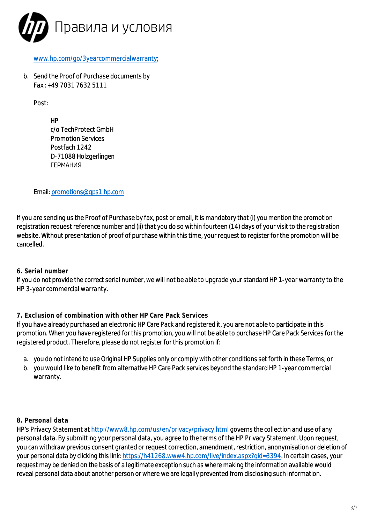

### [www.hp.com/go/3yearcommercialwarranty](https://www.hp.com/go/3yearcommercialwarranty);

b. Send the Proof of Purchase documents by Fax : +49 7031 7632 5111

Post:

HP c/o TechProtect GmbH Promotion Services Postfach 1242 D-71088 Holzgerlingen ГЕРМАНИЯ

Email: [promotions@gps1.hp.com](mailto:promotions@gps1.hp.com)

If you are sending us the Proof of Purchase by fax, post or email, it is mandatory that (i) you mention the promotion registration request reference number and (ii) that you do so within fourteen (14) days of your visit to the registration website. Without presentation of proof of purchase within this time, your request to register for the promotion will be cancelled.

### **6. Serial number**

If you do not provide the correct serial number, we will not be able to upgrade your standard HP 1-year warranty to the HP 3-year commercial warranty.

## **7. Exclusion of combination with other HP Care Pack Services**

If you have already purchased an electronic HP Care Pack and registered it, you are not able to participate in this promotion. When you have registered for this promotion, you will not be able to purchase HP Care Pack Services for the registered product. Therefore, please do not register for this promotion if:

- a. you do not intend to use Original HP Supplies only or comply with other conditions set forth in these Terms; or
- b. you would like to benefit from alternative HP Care Pack services beyond the standard HP 1-year commercial warranty.

### **8. Personal data**

HP's Privacy Statement at <http://www8.hp.com/us/en/privacy/privacy.html> governs the collection and use of any personal data. By submitting your personal data, you agree to the terms of the HP Privacy Statement. Upon request, you can withdraw previous consent granted or request correction, amendment, restriction, anonymisation or deletion of your personal data by clicking this link: [https://h41268.www4.hp.com/live/index.aspx?qid=3394.](https://h41268.www4.hp.com/live/index.aspx?qid=3394) In certain cases, your request may be denied on the basis of a legitimate exception such as where making the information available would reveal personal data about another person or where we are legally prevented from disclosing such information.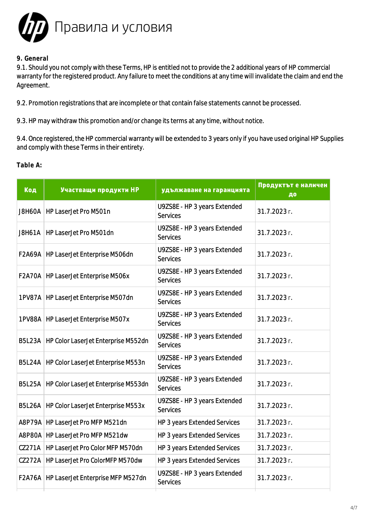

### **9. General**

9.1. Should you not comply with these Terms, HP is entitled not to provide the 2 additional years of HP commercial warranty for the registered product. Any failure to meet the conditions at any time will invalidate the claim and end the Agreement.

9.2. Promotion registrations that are incomplete or that contain false statements cannot be processed.

9.3. HP may withdraw this promotion and/or change its terms at any time, without notice.

9.4. Once registered, the HP commercial warranty will be extended to 3 years only if you have used original HP Supplies and comply with these Terms in their entirety.

**Table A:**

| Код           | Участващи продукти НР                        | удължаване на гаранцията                        | Продуктът е наличен<br>ДО |
|---------------|----------------------------------------------|-------------------------------------------------|---------------------------|
| J8H60A        | HP LaserJet Pro M501n                        | U9ZS8E - HP 3 years Extended<br><b>Services</b> | 31.7.2023 г.              |
|               | J8H61A   HP LaserJet Pro M501dn              | U9ZS8E - HP 3 years Extended<br><b>Services</b> | 31.7.2023 г.              |
| F2A69A        | HP LaserJet Enterprise M506dn                | U9ZS8E - HP 3 years Extended<br><b>Services</b> | 31.7.2023 г.              |
|               | F2A70A   HP LaserJet Enterprise M506x        | U9ZS8E - HP 3 years Extended<br><b>Services</b> | 31.7.2023 г.              |
|               | 1PV87A   HP LaserJet Enterprise M507dn       | U9ZS8E - HP 3 years Extended<br><b>Services</b> | 31.7.2023 г.              |
|               | 1PV88A   HP LaserJet Enterprise M507x        | U9ZS8E - HP 3 years Extended<br><b>Services</b> | 31.7.2023 г.              |
|               | B5L23A   HP Color LaserJet Enterprise M552dn | U9ZS8E - HP 3 years Extended<br><b>Services</b> | 31.7.2023 г.              |
|               | B5L24A   HP Color LaserJet Enterprise M553n  | U9ZS8E - HP 3 years Extended<br><b>Services</b> | 31.7.2023 г.              |
|               | B5L25A   HP Color LaserJet Enterprise M553dn | U9ZS8E - HP 3 years Extended<br><b>Services</b> | 31.7.2023 г.              |
| <b>B5L26A</b> | HP Color LaserJet Enterprise M553x           | U9ZS8E - HP 3 years Extended<br><b>Services</b> | 31.7.2023 г.              |
|               | A8P79A   HP LaserJet Pro MFP M521dn          | HP 3 years Extended Services                    | 31.7.2023 г.              |
|               | A8P80A   HP LaserJet Pro MFP M521dw          | HP 3 years Extended Services                    | 31.7.2023 г.              |
| CZ271A        | HP LaserJet Pro Color MFP M570dn             | HP 3 years Extended Services                    | 31.7.2023 г.              |
| CZ272A        | HP LaserJet Pro ColorMFP M570dw              | HP 3 years Extended Services                    | 31.7.2023 г.              |
| <b>F2A76A</b> | HP LaserJet Enterprise MFP M527dn            | U9ZS8E - HP 3 years Extended<br><b>Services</b> | 31.7.2023 г.              |
|               |                                              |                                                 |                           |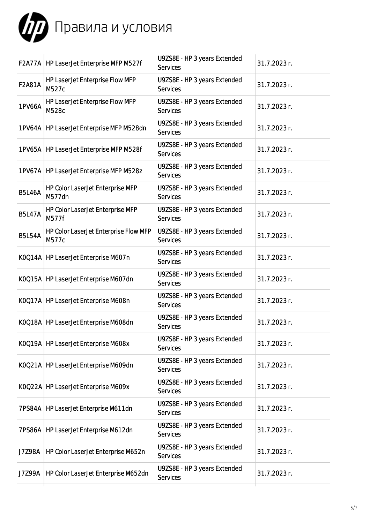

|               | F2A77A   HP LaserJet Enterprise MFP M527f      | U9ZS8E - HP 3 years Extended<br><b>Services</b> | 31.7.2023 г. |
|---------------|------------------------------------------------|-------------------------------------------------|--------------|
| F2A81A        | HP LaserJet Enterprise Flow MFP<br>M527c       | U9ZS8E - HP 3 years Extended<br><b>Services</b> | 31.7.2023 г. |
| 1PV66A        | HP LaserJet Enterprise Flow MFP<br>M528c       | U9ZS8E - HP 3 years Extended<br><b>Services</b> | 31.7.2023 г. |
|               | 1PV64A   HP LaserJet Enterprise MFP M528dn     | U9ZS8E - HP 3 years Extended<br><b>Services</b> | 31.7.2023 г. |
|               | 1PV65A   HP LaserJet Enterprise MFP M528f      | U9ZS8E - HP 3 years Extended<br><b>Services</b> | 31.7.2023 г. |
|               | 1PV67A   HP LaserJet Enterprise MFP M528z      | U9ZS8E - HP 3 years Extended<br><b>Services</b> | 31.7.2023 г. |
| <b>B5L46A</b> | HP Color LaserJet Enterprise MFP<br>M577dn     | U9ZS8E - HP 3 years Extended<br><b>Services</b> | 31.7.2023 г. |
| <b>B5L47A</b> | HP Color LaserJet Enterprise MFP<br>M577f      | U9ZS8E - HP 3 years Extended<br><b>Services</b> | 31.7.2023 г. |
| <b>B5L54A</b> | HP Color LaserJet Enterprise Flow MFP<br>M577c | U9ZS8E - HP 3 years Extended<br><b>Services</b> | 31.7.2023 г. |
|               | K0Q14A   HP LaserJet Enterprise M607n          | U9ZS8E - HP 3 years Extended<br><b>Services</b> | 31.7.2023 г. |
|               | K0Q15A   HP LaserJet Enterprise M607dn         | U9ZS8E - HP 3 years Extended<br><b>Services</b> | 31.7.2023 г. |
|               | K0Q17A   HP LaserJet Enterprise M608n          | U9ZS8E - HP 3 years Extended<br><b>Services</b> | 31.7.2023 г. |
|               | K0Q18A   HP LaserJet Enterprise M608dn         | U9ZS8E - HP 3 years Extended<br><b>Services</b> | 31.7.2023 г. |
|               | K0Q19A   HP LaserJet Enterprise M608x          | U9ZS8E - HP 3 years Extended<br><b>Services</b> | 31.7.2023 г. |
|               | K0Q21A   HP LaserJet Enterprise M609dn         | U9ZS8E - HP 3 years Extended<br><b>Services</b> | 31.7.2023 г. |
|               | K0Q22A   HP LaserJet Enterprise M609x          | U9ZS8E - HP 3 years Extended<br><b>Services</b> | 31.7.2023 г. |
|               | 7PS84A   HP LaserJet Enterprise M611dn         | U9ZS8E - HP 3 years Extended<br><b>Services</b> | 31.7.2023 г. |
|               | 7PS86A   HP LaserJet Enterprise M612dn         | U9ZS8E - HP 3 years Extended<br><b>Services</b> | 31.7.2023 г. |
| J7Z98A        | HP Color LaserJet Enterprise M652n             | U9ZS8E - HP 3 years Extended<br><b>Services</b> | 31.7.2023 г. |
| J7Z99A        | HP Color LaserJet Enterprise M652dn            | U9ZS8E - HP 3 years Extended<br><b>Services</b> | 31.7.2023 г. |
|               |                                                |                                                 |              |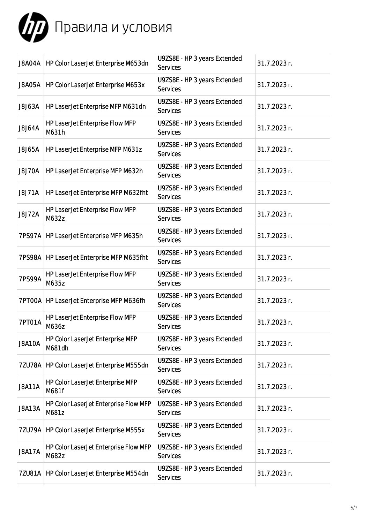

| J8A04A        | HP Color LaserJet Enterprise M653dn            | U9ZS8E - HP 3 years Extended<br><b>Services</b> | 31.7.2023 г. |
|---------------|------------------------------------------------|-------------------------------------------------|--------------|
| <b>J8A05A</b> | HP Color LaserJet Enterprise M653x             | U9ZS8E - HP 3 years Extended<br><b>Services</b> | 31.7.2023 г. |
| J8J63A        | HP LaserJet Enterprise MFP M631dn              | U9ZS8E - HP 3 years Extended<br><b>Services</b> | 31.7.2023 г. |
| J8J64A        | HP LaserJet Enterprise Flow MFP<br>M631h       | U9ZS8E - HP 3 years Extended<br><b>Services</b> | 31.7.2023 г. |
| J8J65A        | HP LaserJet Enterprise MFP M631z               | U9ZS8E - HP 3 years Extended<br><b>Services</b> | 31.7.2023 г. |
| <b>J8J70A</b> | HP LaserJet Enterprise MFP M632h               | U9ZS8E - HP 3 years Extended<br><b>Services</b> | 31.7.2023 г. |
| <b>J8J71A</b> | HP LaserJet Enterprise MFP M632fht             | U9ZS8E - HP 3 years Extended<br><b>Services</b> | 31.7.2023 г. |
| J8J72A        | HP LaserJet Enterprise Flow MFP<br>M632z       | U9ZS8E - HP 3 years Extended<br><b>Services</b> | 31.7.2023 г. |
|               | 7PS97A   HP LaserJet Enterprise MFP M635h      | U9ZS8E - HP 3 years Extended<br><b>Services</b> | 31.7.2023 г. |
|               | 7PS98A   HP LaserJet Enterprise MFP M635fht    | U9ZS8E - HP 3 years Extended<br><b>Services</b> | 31.7.2023 г. |
| 7PS99A        | HP LaserJet Enterprise Flow MFP<br>M635z       | U9ZS8E - HP 3 years Extended<br><b>Services</b> | 31.7.2023 г. |
|               | 7PT00A   HP LaserJet Enterprise MFP M636fh     | U9ZS8E - HP 3 years Extended<br><b>Services</b> | 31.7.2023 г. |
| 7PT01A        | HP LaserJet Enterprise Flow MFP<br>M636z       | U9ZS8E - HP 3 years Extended<br><b>Services</b> | 31.7.2023 г. |
| <b>J8A10A</b> | HP Color LaserJet Enterprise MFP<br>M681dh     | U9ZS8E - HP 3 years Extended<br><b>Services</b> | 31.7.2023 г. |
| 7ZU78A        | HP Color LaserJet Enterprise M555dn            | U9ZS8E - HP 3 years Extended<br><b>Services</b> | 31.7.2023 г. |
| <b>J8A11A</b> | HP Color LaserJet Enterprise MFP<br>M681f      | U9ZS8E - HP 3 years Extended<br><b>Services</b> | 31.7.2023 г. |
| <b>J8A13A</b> | HP Color LaserJet Enterprise Flow MFP<br>M681z | U9ZS8E - HP 3 years Extended<br><b>Services</b> | 31.7.2023 г. |
| 7ZU79A        | HP Color LaserJet Enterprise M555x             | U9ZS8E - HP 3 years Extended<br><b>Services</b> | 31.7.2023 г. |
| <b>J8A17A</b> | HP Color LaserJet Enterprise Flow MFP<br>M682z | U9ZS8E - HP 3 years Extended<br><b>Services</b> | 31.7.2023 г. |
| 7ZU81A        | HP Color LaserJet Enterprise M554dn            | U9ZS8E - HP 3 years Extended<br><b>Services</b> | 31.7.2023 г. |
|               |                                                |                                                 |              |